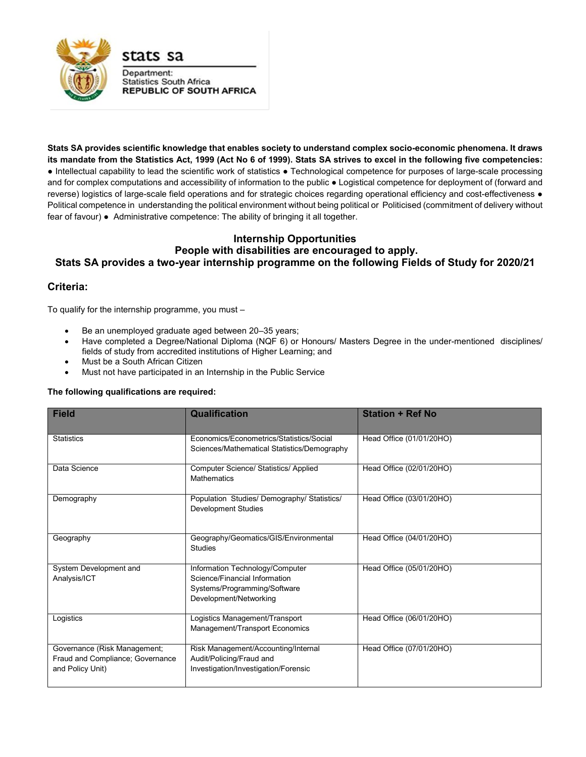

**Stats SA provides scientific knowledge that enables society to understand complex socio-economic phenomena. It draws its mandate from the Statistics Act, 1999 (Act No 6 of 1999). Stats SA strives to excel in the following five competencies:**  ● Intellectual capability to lead the scientific work of statistics ● Technological competence for purposes of large-scale processing and for complex computations and accessibility of information to the public ● Logistical competence for deployment of (forward and reverse) logistics of large-scale field operations and for strategic choices regarding operational efficiency and cost-effectiveness ● Political competence in understanding the political environment without being political or Politicised (commitment of delivery without fear of favour) ● Administrative competence: The ability of bringing it all together.

## **Internship Opportunities People with disabilities are encouraged to apply. Stats SA provides a two-year internship programme on the following Fields of Study for 2020/21**

## **Criteria:**

To qualify for the internship programme, you must –

- Be an unemployed graduate aged between 20–35 years;
- Have completed a Degree/National Diploma (NQF 6) or Honours/ Masters Degree in the under-mentioned disciplines/ fields of study from accredited institutions of Higher Learning; and
- Must be a South African Citizen
- Must not have participated in an Internship in the Public Service

## **The following qualifications are required:**

| <b>Field</b>                                                                         | <b>Qualification</b>                                                                                                       | <b>Station + Ref No</b>  |
|--------------------------------------------------------------------------------------|----------------------------------------------------------------------------------------------------------------------------|--------------------------|
| <b>Statistics</b>                                                                    | Fconomics/Fconometrics/Statistics/Social<br>Sciences/Mathematical Statistics/Demography                                    | Head Office (01/01/20HO) |
| Data Science                                                                         | Computer Science/ Statistics/ Applied<br><b>Mathematics</b>                                                                | Head Office (02/01/20HO) |
| Demography                                                                           | Population Studies/Demography/Statistics/<br><b>Development Studies</b>                                                    | Head Office (03/01/20HO) |
| Geography                                                                            | Geography/Geomatics/GIS/Environmental<br><b>Studies</b>                                                                    | Head Office (04/01/20HO) |
| System Development and<br>Analysis/ICT                                               | Information Technology/Computer<br>Science/Financial Information<br>Systems/Programming/Software<br>Development/Networking | Head Office (05/01/20HO) |
| Logistics                                                                            | Logistics Management/Transport<br>Management/Transport Economics                                                           | Head Office (06/01/20HO) |
| Governance (Risk Management;<br>Fraud and Compliance; Governance<br>and Policy Unit) | Risk Management/Accounting/Internal<br>Audit/Policing/Fraud and<br>Investigation/Investigation/Forensic                    | Head Office (07/01/20HO) |